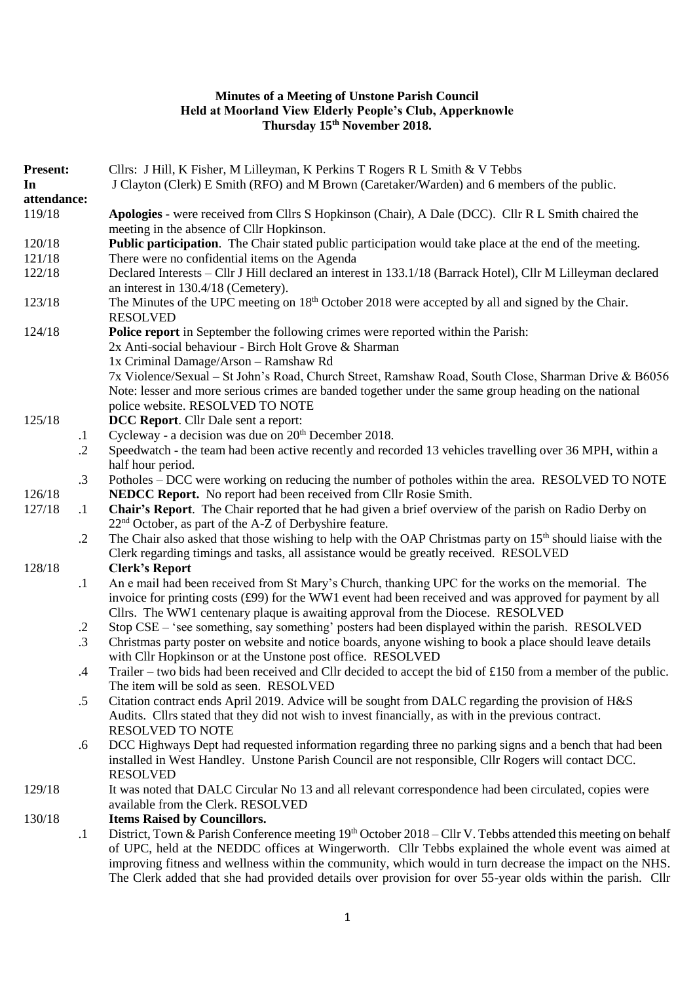### **Minutes of a Meeting of Unstone Parish Council Held at Moorland View Elderly People's Club, Apperknowle Thursday 15th November 2018.**

| <b>Present:</b> |                      | Cllrs: J Hill, K Fisher, M Lilleyman, K Perkins T Rogers R L Smith & V Tebbs                                                                                                                                                                                                                                                                                                                                                                  |
|-----------------|----------------------|-----------------------------------------------------------------------------------------------------------------------------------------------------------------------------------------------------------------------------------------------------------------------------------------------------------------------------------------------------------------------------------------------------------------------------------------------|
| In              |                      | J Clayton (Clerk) E Smith (RFO) and M Brown (Caretaker/Warden) and 6 members of the public.                                                                                                                                                                                                                                                                                                                                                   |
| attendance:     |                      |                                                                                                                                                                                                                                                                                                                                                                                                                                               |
| 119/18          |                      | Apologies - were received from Cllrs S Hopkinson (Chair), A Dale (DCC). Cllr R L Smith chaired the<br>meeting in the absence of Cllr Hopkinson.                                                                                                                                                                                                                                                                                               |
| 120/18          |                      | Public participation. The Chair stated public participation would take place at the end of the meeting.                                                                                                                                                                                                                                                                                                                                       |
| 121/18          |                      | There were no confidential items on the Agenda                                                                                                                                                                                                                                                                                                                                                                                                |
| 122/18          |                      | Declared Interests – Cllr J Hill declared an interest in 133.1/18 (Barrack Hotel), Cllr M Lilleyman declared<br>an interest in 130.4/18 (Cemetery).                                                                                                                                                                                                                                                                                           |
| 123/18          |                      | The Minutes of the UPC meeting on 18 <sup>th</sup> October 2018 were accepted by all and signed by the Chair.<br><b>RESOLVED</b>                                                                                                                                                                                                                                                                                                              |
| 124/18          |                      | Police report in September the following crimes were reported within the Parish:<br>2x Anti-social behaviour - Birch Holt Grove & Sharman<br>1x Criminal Damage/Arson - Ramshaw Rd<br>7x Violence/Sexual - St John's Road, Church Street, Ramshaw Road, South Close, Sharman Drive & B6056<br>Note: lesser and more serious crimes are banded together under the same group heading on the national<br>police website. RESOLVED TO NOTE       |
| 125/18          |                      | <b>DCC Report.</b> Cllr Dale sent a report:                                                                                                                                                                                                                                                                                                                                                                                                   |
|                 | $\cdot$              | Cycleway - a decision was due on 20 <sup>th</sup> December 2018.                                                                                                                                                                                                                                                                                                                                                                              |
|                 | $\cdot$ .2           | Speedwatch - the team had been active recently and recorded 13 vehicles travelling over 36 MPH, within a<br>half hour period.                                                                                                                                                                                                                                                                                                                 |
|                 | $\cdot$ 3            | Potholes – DCC were working on reducing the number of potholes within the area. RESOLVED TO NOTE                                                                                                                                                                                                                                                                                                                                              |
| 126/18          |                      | NEDCC Report. No report had been received from Cllr Rosie Smith.                                                                                                                                                                                                                                                                                                                                                                              |
| 127/18          | $\cdot$              | Chair's Report. The Chair reported that he had given a brief overview of the parish on Radio Derby on<br>$22nd$ October, as part of the A-Z of Derbyshire feature.                                                                                                                                                                                                                                                                            |
|                 | $\cdot$ .2           | The Chair also asked that those wishing to help with the OAP Christmas party on 15 <sup>th</sup> should liaise with the<br>Clerk regarding timings and tasks, all assistance would be greatly received. RESOLVED                                                                                                                                                                                                                              |
| 128/18          |                      | <b>Clerk's Report</b>                                                                                                                                                                                                                                                                                                                                                                                                                         |
|                 | $\cdot$              | An e mail had been received from St Mary's Church, thanking UPC for the works on the memorial. The<br>invoice for printing costs $(f99)$ for the WW1 event had been received and was approved for payment by all                                                                                                                                                                                                                              |
|                 |                      | Cllrs. The WW1 centenary plaque is awaiting approval from the Diocese. RESOLVED<br>Stop CSE – 'see something, say something' posters had been displayed within the parish. RESOLVED                                                                                                                                                                                                                                                           |
|                 | $\cdot$<br>$\cdot$ 3 | Christmas party poster on website and notice boards, anyone wishing to book a place should leave details<br>with Cllr Hopkinson or at the Unstone post office. RESOLVED                                                                                                                                                                                                                                                                       |
|                 | $\cdot$              | Trailer – two bids had been received and Cllr decided to accept the bid of £150 from a member of the public.<br>The item will be sold as seen. RESOLVED                                                                                                                                                                                                                                                                                       |
|                 | $.5\,$               | Citation contract ends April 2019. Advice will be sought from DALC regarding the provision of H&S<br>Audits. Cllrs stated that they did not wish to invest financially, as with in the previous contract.<br><b>RESOLVED TO NOTE</b>                                                                                                                                                                                                          |
|                 | .6                   | DCC Highways Dept had requested information regarding three no parking signs and a bench that had been<br>installed in West Handley. Unstone Parish Council are not responsible, Cllr Rogers will contact DCC.<br><b>RESOLVED</b>                                                                                                                                                                                                             |
| 129/18          |                      | It was noted that DALC Circular No 13 and all relevant correspondence had been circulated, copies were<br>available from the Clerk. RESOLVED                                                                                                                                                                                                                                                                                                  |
| 130/18          |                      | <b>Items Raised by Councillors.</b>                                                                                                                                                                                                                                                                                                                                                                                                           |
|                 | $\cdot$              | District, Town & Parish Conference meeting 19th October 2018 – Cllr V. Tebbs attended this meeting on behalf<br>of UPC, held at the NEDDC offices at Wingerworth. Cllr Tebbs explained the whole event was aimed at<br>improving fitness and wellness within the community, which would in turn decrease the impact on the NHS.<br>The Clerk added that she had provided details over provision for over 55-year olds within the parish. Cllr |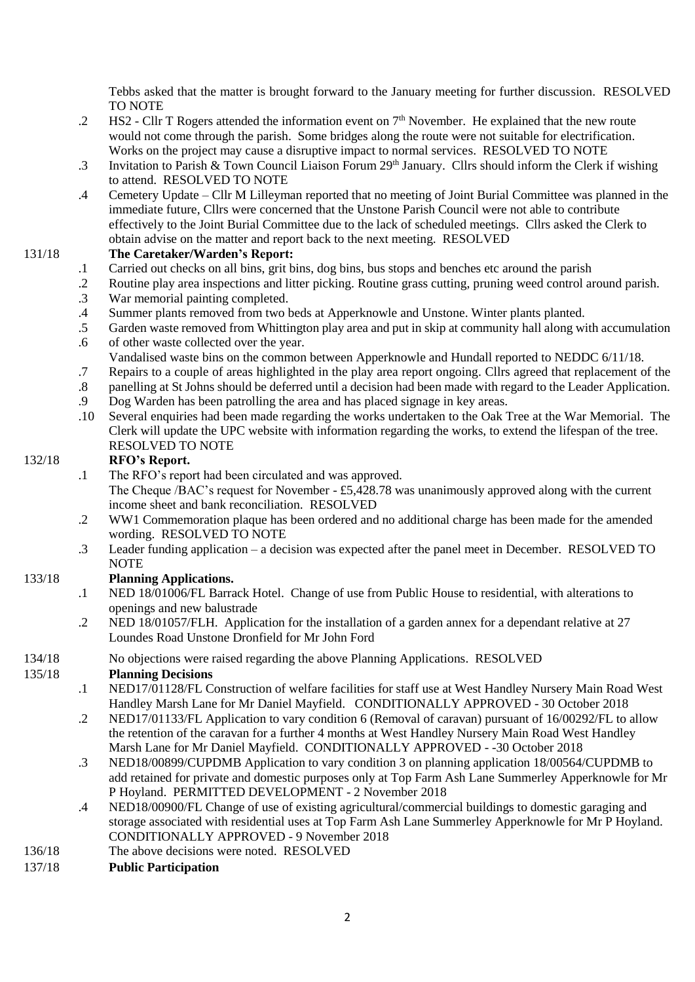Tebbs asked that the matter is brought forward to the January meeting for further discussion. RESOLVED TO NOTE

- .2 HS2 Cllr T Rogers attended the information event on  $7<sup>th</sup>$  November. He explained that the new route would not come through the parish. Some bridges along the route were not suitable for electrification. Works on the project may cause a disruptive impact to normal services. RESOLVED TO NOTE
- .3 Invitation to Parish & Town Council Liaison Forum 29<sup>th</sup> January. Cllrs should inform the Clerk if wishing to attend. RESOLVED TO NOTE
- .4 Cemetery Update Cllr M Lilleyman reported that no meeting of Joint Burial Committee was planned in the immediate future, Cllrs were concerned that the Unstone Parish Council were not able to contribute effectively to the Joint Burial Committee due to the lack of scheduled meetings. Cllrs asked the Clerk to obtain advise on the matter and report back to the next meeting. RESOLVED

#### 131/18 **The Caretaker/Warden's Report:**

- .1 Carried out checks on all bins, grit bins, dog bins, bus stops and benches etc around the parish
- .2 Routine play area inspections and litter picking. Routine grass cutting, pruning weed control around parish.
- .3 War memorial painting completed.
- .4 Summer plants removed from two beds at Apperknowle and Unstone. Winter plants planted.
- .5 Garden waste removed from Whittington play area and put in skip at community hall along with accumulation
- .6 of other waste collected over the year.
- Vandalised waste bins on the common between Apperknowle and Hundall reported to NEDDC 6/11/18.
- .7 Repairs to a couple of areas highlighted in the play area report ongoing. Cllrs agreed that replacement of the
- .8 panelling at St Johns should be deferred until a decision had been made with regard to the Leader Application.
- .9 Dog Warden has been patrolling the area and has placed signage in key areas.
- .10 Several enquiries had been made regarding the works undertaken to the Oak Tree at the War Memorial. The Clerk will update the UPC website with information regarding the works, to extend the lifespan of the tree. RESOLVED TO NOTE

# 132/18 **RFO's Report.**

.1 The RFO's report had been circulated and was approved.

The Cheque /BAC's request for November - £5,428.78 was unanimously approved along with the current income sheet and bank reconciliation. RESOLVED

- .2 WW1 Commemoration plaque has been ordered and no additional charge has been made for the amended wording. RESOLVED TO NOTE
- .3 Leader funding application a decision was expected after the panel meet in December. RESOLVED TO **NOTE**

# 133/18 **Planning Applications.**

- .1 NED 18/01006/FL Barrack Hotel. Change of use from Public House to residential, with alterations to openings and new balustrade
- .2 NED 18/01057/FLH. Application for the installation of a garden annex for a dependant relative at 27 Loundes Road Unstone Dronfield for Mr John Ford
- 134/18 No objections were raised regarding the above Planning Applications. RESOLVED

#### 135/18 **Planning Decisions**

- .1 NED17/01128/FL Construction of welfare facilities for staff use at West Handley Nursery Main Road West Handley Marsh Lane for Mr Daniel Mayfield. CONDITIONALLY APPROVED - 30 October 2018
- .2 NED17/01133/FL Application to vary condition 6 (Removal of caravan) pursuant of 16/00292/FL to allow the retention of the caravan for a further 4 months at West Handley Nursery Main Road West Handley Marsh Lane for Mr Daniel Mayfield. CONDITIONALLY APPROVED - -30 October 2018
- .3 NED18/00899/CUPDMB Application to vary condition 3 on planning application 18/00564/CUPDMB to add retained for private and domestic purposes only at Top Farm Ash Lane Summerley Apperknowle for Mr P Hoyland. PERMITTED DEVELOPMENT - 2 November 2018
- .4 NED18/00900/FL Change of use of existing agricultural/commercial buildings to domestic garaging and storage associated with residential uses at Top Farm Ash Lane Summerley Apperknowle for Mr P Hoyland. CONDITIONALLY APPROVED - 9 November 2018
- 136/18 The above decisions were noted. RESOLVED
- 137/18 **Public Participation**